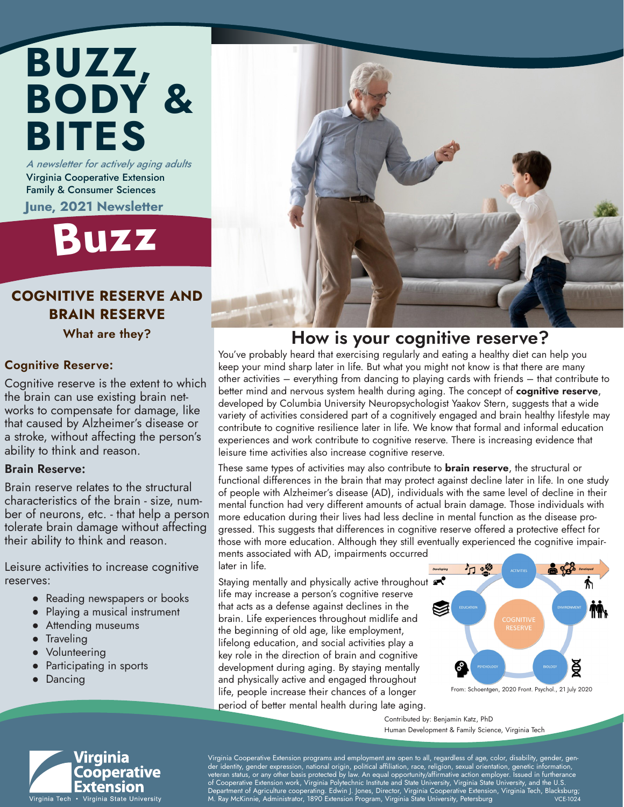## BUZZ, BODY & BITES A newsletter for actively aging adults

Virginia Cooperative Extension Family & Consumer Sciences June, 2021 Newsletter



#### COGNITIVE RESERVE AND BRAIN RESERVE

What are they?

#### Cognitive Reserve:

Cognitive reserve is the extent to which the brain can use existing brain networks to compensate for damage, like that caused by Alzheimer's disease or a stroke, without affecting the person's ability to think and reason.

#### Brain Reserve:

Brain reserve relates to the structural characteristics of the brain - size, number of neurons, etc. - that help a person tolerate brain damage without affecting their ability to think and reason.

Leisure activities to increase cognitive reserves:

- Reading newspapers or books
- Playing a musical instrument
- Attending museums
- Traveling
- Volunteering
- Participating in sports
- Dancing

### How is your cognitive reserve?

You've probably heard that exercising regularly and eating a healthy diet can help you keep your mind sharp later in life. But what you might not know is that there are many other activities – everything from dancing to playing cards with friends – that contribute to better mind and nervous system health during aging. The concept of **cognitive reserve**, developed by Columbia University Neuropsychologist Yaakov Stern, suggests that a wide variety of activities considered part of a cognitively engaged and brain healthy lifestyle may contribute to cognitive resilience later in life. We know that formal and informal education experiences and work contribute to cognitive reserve. There is increasing evidence that leisure time activities also increase cognitive reserve.

These same types of activities may also contribute to **brain reserve**, the structural or functional differences in the brain that may protect against decline later in life. In one study of people with Alzheimer's disease (AD), individuals with the same level of decline in their mental function had very different amounts of actual brain damage. Those individuals with more education during their lives had less decline in mental function as the disease progressed. This suggests that differences in cognitive reserve offered a protective effect for those with more education. Although they still eventually experienced the cognitive impairments associated with AD, impairments occurred

later in life.

Staying mentally and physically active throughout  $\blacktriangle$ life may increase a person's cognitive reserve that acts as a defense against declines in the brain. Life experiences throughout midlife and the beginning of old age, like employment, lifelong education, and social activities play a key role in the direction of brain and cognitive development during aging. By staying mentally and physically active and engaged throughout life, people increase their chances of a longer period of better mental health during late aging.



Contributed by: Benjamin Katz, PhD Human Development & Family Science, Virginia Tech



Virginia Cooperative Extension programs and employment are open to all, regardless of age, color, disability, gender, gender identity, gender expression, national origin, political affiliation, race, religion, sexual orientation, genetic information, veteran status, or any other basis protected by law. An equal opportunity/affirmative action employer. Issued in furtherance of Cooperative Extension work, Virginia Polytechnic Institute and State University, Virginia State University, and the U.S. , Department of Agriculture cooperating. Edwin J. Jones, Director, Virginia Cooperative Extension, Virginia Tech, Blacksburg;<br>M. Ray McKinnie, Administrator, 1890 Extension Program, Virginia State University, Petersburg